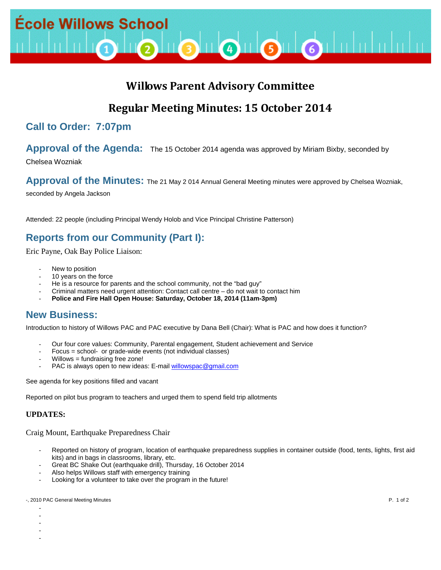

# **Willows Parent Advisory Committee**

# **Regular Meeting Minutes: 15 October 2014**

# **Call to Order: 7:07pm**

## **Approval of the Agenda:** The 15 October 2014 agenda was approved by Miriam Bixby, seconded by

Chelsea Wozniak

### Approval of the Minutes: The 21 May 2014 Annual General Meeting minutes were approved by Chelsea Wozniak,

seconded by Angela Jackson

Attended: 22 people (including Principal Wendy Holob and Vice Principal Christine Patterson)

# **Reports from our Community (Part I):**

Eric Payne, Oak Bay Police Liaison:

- New to position
- 10 years on the force
- He is a resource for parents and the school community, not the "bad guy"
- Criminal matters need urgent attention: Contact call centre do not wait to contact him
- **Police and Fire Hall Open House: Saturday, October 18, 2014 (11am-3pm)**

# **New Business:**

Introduction to history of Willows PAC and PAC executive by Dana Bell (Chair): What is PAC and how does it function?

- Our four core values: Community, Parental engagement, Student achievement and Service
- Focus = school- or grade-wide events (not individual classes)
- $W$ illows = fundraising free zone!
- PAC is always open to new ideas: E-mail [willowspac@gmail.com](mailto:willowspac@gmail.com)

See agenda for key positions filled and vacant

Reported on pilot bus program to teachers and urged them to spend field trip allotments

#### **UPDATES:**

- - - - -

Craig Mount, Earthquake Preparedness Chair

- Reported on history of program, location of earthquake preparedness supplies in container outside (food, tents, lights, first aid kits) and in bags in classrooms, library, etc.
- Great BC Shake Out (earthquake drill), Thursday, 16 October 2014
- Also helps Willows staff with emergency training
- Looking for a volunteer to take over the program in the future!

#### -, 2010 PAC General Meeting Minutes **P. 1 of 2** and 2 and 2 and 2 and 2 and 2 and 2 and 2 and 2 and 2 and 2 and 2 and 2 and 2 and 2 and 2 and 2 and 2 and 2 and 2 and 2 and 2 and 2 and 2 and 2 and 2 and 2 and 2 and 2 and 2